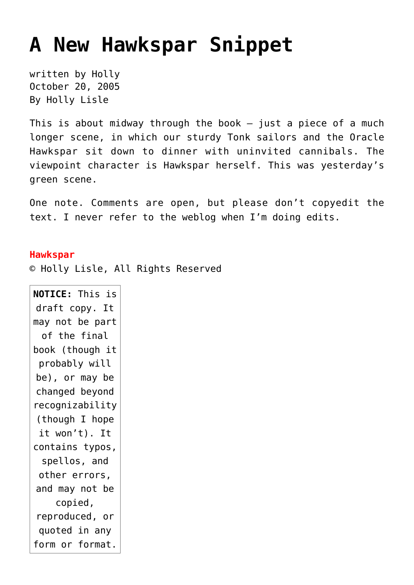## **[A New Hawkspar Snippet](https://hollylisle.com/a-new-hawkspar-snippet/)**

written by Holly October 20, 2005 [By Holly Lisle](https://hollylisle.com)

This is about midway through the book — just a piece of a much longer scene, in which our sturdy Tonk sailors and the Oracle Hawkspar sit down to dinner with uninvited cannibals. The viewpoint character is Hawkspar herself. This was yesterday's green scene.

One note. Comments are open, but please don't copyedit the text. I never refer to the weblog when I'm doing edits.

## **Hawkspar**

© Holly Lisle, All Rights Reserved

**NOTICE:** This is draft copy. It may not be part of the final book (though it probably will be), or may be changed beyond recognizability (though I hope it won't). It contains typos, spellos, and other errors, and may not be copied, reproduced, or quoted in any form or format.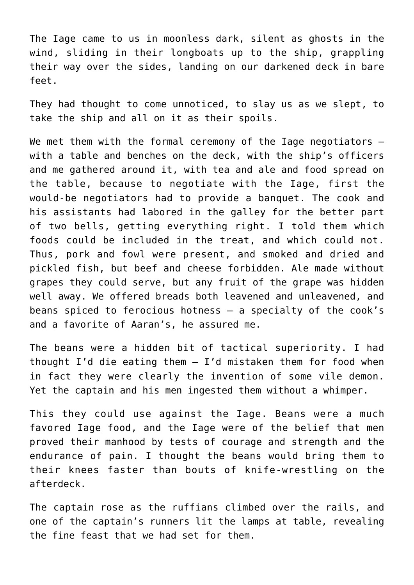The Iage came to us in moonless dark, silent as ghosts in the wind, sliding in their longboats up to the ship, grappling their way over the sides, landing on our darkened deck in bare feet.

They had thought to come unnoticed, to slay us as we slept, to take the ship and all on it as their spoils.

We met them with the formal ceremony of the Iage negotiators with a table and benches on the deck, with the ship's officers and me gathered around it, with tea and ale and food spread on the table, because to negotiate with the Iage, first the would-be negotiators had to provide a banquet. The cook and his assistants had labored in the galley for the better part of two bells, getting everything right. I told them which foods could be included in the treat, and which could not. Thus, pork and fowl were present, and smoked and dried and pickled fish, but beef and cheese forbidden. Ale made without grapes they could serve, but any fruit of the grape was hidden well away. We offered breads both leavened and unleavened, and beans spiced to ferocious hotness — a specialty of the cook's and a favorite of Aaran's, he assured me.

The beans were a hidden bit of tactical superiority. I had thought I'd die eating them — I'd mistaken them for food when in fact they were clearly the invention of some vile demon. Yet the captain and his men ingested them without a whimper.

This they could use against the Iage. Beans were a much favored Iage food, and the Iage were of the belief that men proved their manhood by tests of courage and strength and the endurance of pain. I thought the beans would bring them to their knees faster than bouts of knife-wrestling on the afterdeck.

The captain rose as the ruffians climbed over the rails, and one of the captain's runners lit the lamps at table, revealing the fine feast that we had set for them.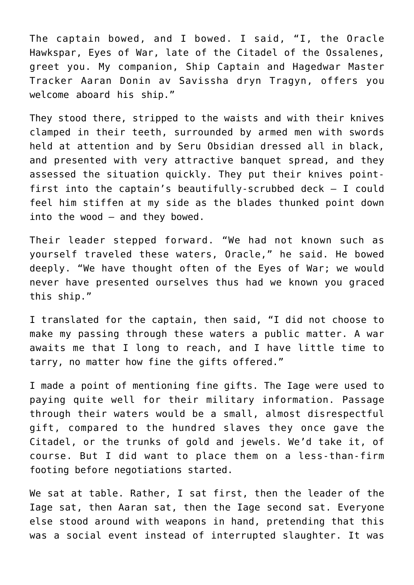The captain bowed, and I bowed. I said, "I, the Oracle Hawkspar, Eyes of War, late of the Citadel of the Ossalenes, greet you. My companion, Ship Captain and Hagedwar Master Tracker Aaran Donin av Savissha dryn Tragyn, offers you welcome aboard his ship."

They stood there, stripped to the waists and with their knives clamped in their teeth, surrounded by armed men with swords held at attention and by Seru Obsidian dressed all in black, and presented with very attractive banquet spread, and they assessed the situation quickly. They put their knives pointfirst into the captain's beautifully-scrubbed deck — I could feel him stiffen at my side as the blades thunked point down into the wood — and they bowed.

Their leader stepped forward. "We had not known such as yourself traveled these waters, Oracle," he said. He bowed deeply. "We have thought often of the Eyes of War; we would never have presented ourselves thus had we known you graced this ship."

I translated for the captain, then said, "I did not choose to make my passing through these waters a public matter. A war awaits me that I long to reach, and I have little time to tarry, no matter how fine the gifts offered."

I made a point of mentioning fine gifts. The Iage were used to paying quite well for their military information. Passage through their waters would be a small, almost disrespectful gift, compared to the hundred slaves they once gave the Citadel, or the trunks of gold and jewels. We'd take it, of course. But I did want to place them on a less-than-firm footing before negotiations started.

We sat at table. Rather, I sat first, then the leader of the Iage sat, then Aaran sat, then the Iage second sat. Everyone else stood around with weapons in hand, pretending that this was a social event instead of interrupted slaughter. It was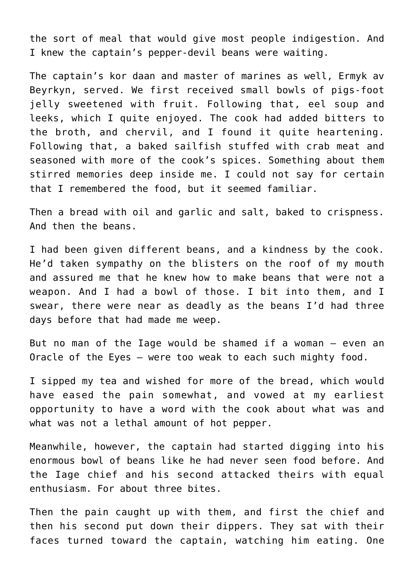the sort of meal that would give most people indigestion. And I knew the captain's pepper-devil beans were waiting.

The captain's kor daan and master of marines as well, Ermyk av Beyrkyn, served. We first received small bowls of pigs-foot jelly sweetened with fruit. Following that, eel soup and leeks, which I quite enjoyed. The cook had added bitters to the broth, and chervil, and I found it quite heartening. Following that, a baked sailfish stuffed with crab meat and seasoned with more of the cook's spices. Something about them stirred memories deep inside me. I could not say for certain that I remembered the food, but it seemed familiar.

Then a bread with oil and garlic and salt, baked to crispness. And then the beans.

I had been given different beans, and a kindness by the cook. He'd taken sympathy on the blisters on the roof of my mouth and assured me that he knew how to make beans that were not a weapon. And I had a bowl of those. I bit into them, and I swear, there were near as deadly as the beans I'd had three days before that had made me weep.

But no man of the Iage would be shamed if a woman — even an Oracle of the Eyes — were too weak to each such mighty food.

I sipped my tea and wished for more of the bread, which would have eased the pain somewhat, and vowed at my earliest opportunity to have a word with the cook about what was and what was not a lethal amount of hot pepper.

Meanwhile, however, the captain had started digging into his enormous bowl of beans like he had never seen food before. And the Iage chief and his second attacked theirs with equal enthusiasm. For about three bites.

Then the pain caught up with them, and first the chief and then his second put down their dippers. They sat with their faces turned toward the captain, watching him eating. One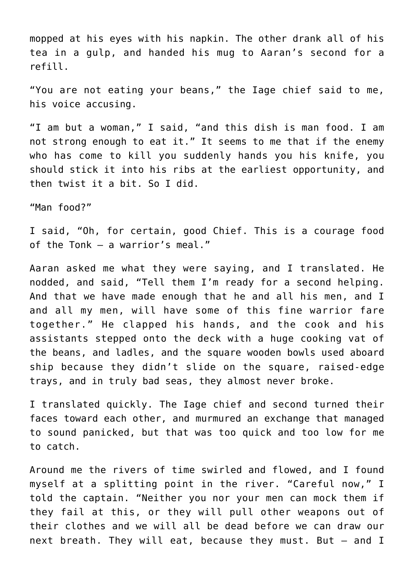mopped at his eyes with his napkin. The other drank all of his tea in a gulp, and handed his mug to Aaran's second for a refill.

"You are not eating your beans," the Iage chief said to me, his voice accusing.

"I am but a woman," I said, "and this dish is man food. I am not strong enough to eat it." It seems to me that if the enemy who has come to kill you suddenly hands you his knife, you should stick it into his ribs at the earliest opportunity, and then twist it a bit. So I did.

"Man food?"

I said, "Oh, for certain, good Chief. This is a courage food of the Tonk — a warrior's meal."

Aaran asked me what they were saying, and I translated. He nodded, and said, "Tell them I'm ready for a second helping. And that we have made enough that he and all his men, and I and all my men, will have some of this fine warrior fare together." He clapped his hands, and the cook and his assistants stepped onto the deck with a huge cooking vat of the beans, and ladles, and the square wooden bowls used aboard ship because they didn't slide on the square, raised-edge trays, and in truly bad seas, they almost never broke.

I translated quickly. The Iage chief and second turned their faces toward each other, and murmured an exchange that managed to sound panicked, but that was too quick and too low for me to catch.

Around me the rivers of time swirled and flowed, and I found myself at a splitting point in the river. "Careful now," I told the captain. "Neither you nor your men can mock them if they fail at this, or they will pull other weapons out of their clothes and we will all be dead before we can draw our next breath. They will eat, because they must. But — and I